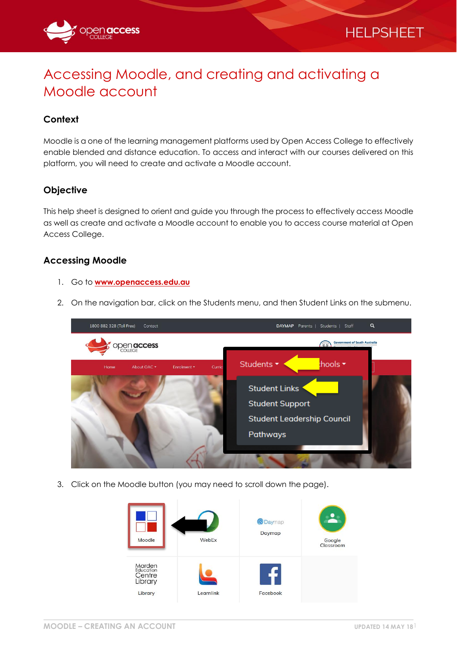

# Accessing Moodle, and creating and activating a Moodle account

## **Context**

Moodle is a one of the learning management platforms used by Open Access College to effectively enable blended and distance education. To access and interact with our courses delivered on this platform, you will need to create and activate a Moodle account.

### **Objective**

This help sheet is designed to orient and guide you through the process to effectively access Moodle as well as create and activate a Moodle account to enable you to access course material at Open Access College.

#### **Accessing Moodle**

- 1. Go to **[www.openaccess.edu.au](http://www.openaccess.edu.au/)**
- 2. On the navigation bar, click on the Students menu, and then Student Links on the submenu.



3. Click on the Moodle button (you may need to scroll down the page).

| Moodle                                                     | WebEx     | <b>@Daymap</b><br>Daymap | Google<br>Classroom |
|------------------------------------------------------------|-----------|--------------------------|---------------------|
| <b>Marden</b><br>Education<br>Centre<br>Library<br>Library | Learnlink | Facebook                 |                     |